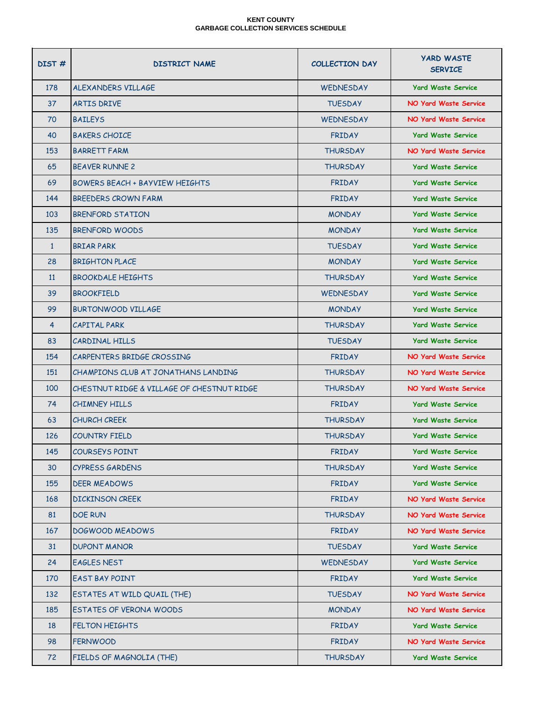| DIST#          | <b>DISTRICT NAME</b>                       | <b>COLLECTION DAY</b> | <b>YARD WASTE</b><br><b>SERVICE</b> |
|----------------|--------------------------------------------|-----------------------|-------------------------------------|
| 178            | ALEXANDERS VILLAGE                         | <b>WEDNESDAY</b>      | <b>Yard Waste Service</b>           |
| 37             | ARTIS DRIVE                                | <b>TUESDAY</b>        | <b>NO Yard Waste Service</b>        |
| 70             | <b>BAILEYS</b>                             | <b>WEDNESDAY</b>      | <b>NO Yard Waste Service</b>        |
| 40             | <b>BAKERS CHOICE</b>                       | <b>FRIDAY</b>         | <b>Yard Waste Service</b>           |
| 153            | <b>BARRETT FARM</b>                        | <b>THURSDAY</b>       | <b>NO Yard Waste Service</b>        |
| 65             | <b>BFAVER RUNNE 2</b>                      | <b>THURSDAY</b>       | <b>Yard Waste Service</b>           |
| 69             | <b>BOWERS BEACH + BAYVIEW HEIGHTS</b>      | <b>FRIDAY</b>         | <b>Yard Waste Service</b>           |
| 144            | BREEDERS CROWN FARM                        | <b>FRIDAY</b>         | <b>Yard Waste Service</b>           |
| 103            | BRENFORD STATION                           | <b>MONDAY</b>         | <b>Yard Waste Service</b>           |
| 135            | <b>BRENFORD WOODS</b>                      | <b>MONDAY</b>         | <b>Yard Waste Service</b>           |
| $\mathbf{1}$   | <b>BRIAR PARK</b>                          | <b>TUESDAY</b>        | <b>Yard Waste Service</b>           |
| 28             | <b>BRIGHTON PLACE</b>                      | <b>MONDAY</b>         | <b>Yard Waste Service</b>           |
| 11             | <b>BROOKDALE HEIGHTS</b>                   | <b>THURSDAY</b>       | <b>Yard Waste Service</b>           |
| 39             | <b>BROOKFIELD</b>                          | <b>WEDNESDAY</b>      | <b>Yard Waste Service</b>           |
| 99             | BURTONWOOD VILLAGE                         | <b>MONDAY</b>         | <b>Yard Waste Service</b>           |
| $\overline{4}$ | <b>CAPITAL PARK</b>                        | <b>THURSDAY</b>       | <b>Yard Waste Service</b>           |
| 83             | CARDINAL HILLS                             | <b>TUESDAY</b>        | <b>Yard Waste Service</b>           |
| 154            | CARPENTERS BRIDGE CROSSING                 | <b>FRIDAY</b>         | <b>NO Yard Waste Service</b>        |
| 151            | CHAMPIONS CLUB AT JONATHANS LANDING        | <b>THURSDAY</b>       | <b>NO Yard Waste Service</b>        |
| 100            | CHESTNUT RIDGE & VILLAGE OF CHESTNUT RIDGE | <b>THURSDAY</b>       | <b>NO Yard Waste Service</b>        |
| 74             | <b>CHIMNEY HILLS</b>                       | <b>FRIDAY</b>         | <b>Yard Waste Service</b>           |
| 63             | <b>CHURCH CREEK</b>                        | <b>THURSDAY</b>       | <b>Yard Waste Service</b>           |
| 126            | <b>COUNTRY FIELD</b>                       | <b>THURSDAY</b>       | <b>Yard Waste Service</b>           |
| 145            | <b>COURSEYS POINT</b>                      | <b>FRIDAY</b>         | <b>Yard Waste Service</b>           |
| 30             | <b>CYPRESS GARDENS</b>                     | <b>THURSDAY</b>       | <b>Yard Waste Service</b>           |
| 155            | <b>DEER MEADOWS</b>                        | <b>FRIDAY</b>         | <b>Yard Waste Service</b>           |
| 168            | <b>DICKINSON CREEK</b>                     | <b>FRIDAY</b>         | <b>NO Yard Waste Service</b>        |
| 81             | <b>DOE RUN</b>                             | <b>THURSDAY</b>       | <b>NO Yard Waste Service</b>        |
| 167            | <b>DOGWOOD MEADOWS</b>                     | <b>FRIDAY</b>         | <b>NO Yard Waste Service</b>        |
| 31             | <b>DUPONT MANOR</b>                        | <b>TUESDAY</b>        | <b>Yard Waste Service</b>           |
| 24             | <b>EAGLES NEST</b>                         | WEDNESDAY             | <b>Yard Waste Service</b>           |
| 170            | <b>EAST BAY POINT</b>                      | <b>FRIDAY</b>         | <b>Yard Waste Service</b>           |
| 132            | ESTATES AT WILD QUAIL (THE)                | <b>TUESDAY</b>        | <b>NO Yard Waste Service</b>        |
| 185            | <b>ESTATES OF VERONA WOODS</b>             | <b>MONDAY</b>         | <b>NO Yard Waste Service</b>        |
| 18             | <b>FELTON HEIGHTS</b>                      | <b>FRIDAY</b>         | <b>Yard Waste Service</b>           |
| 98             | <b>FERNWOOD</b>                            | <b>FRIDAY</b>         | <b>NO Yard Waste Service</b>        |
| 72             | FIELDS OF MAGNOLIA (THE)                   | <b>THURSDAY</b>       | <b>Yard Waste Service</b>           |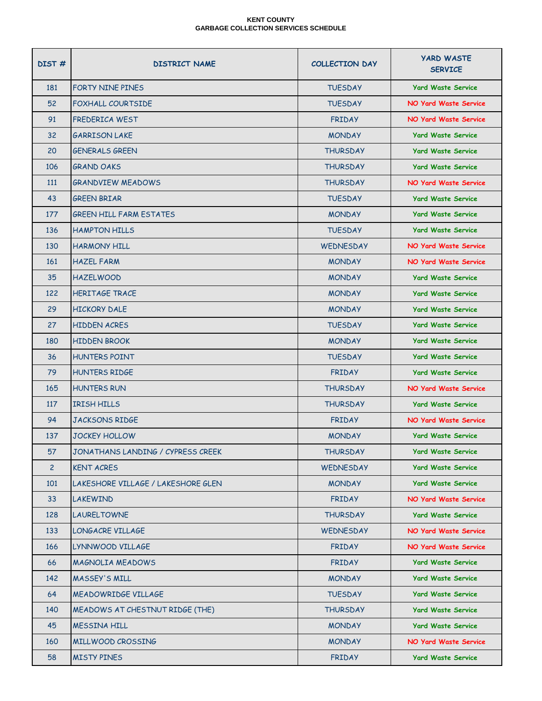| DIST#          | <b>DISTRICT NAME</b>               | <b>COLLECTION DAY</b> | <b>YARD WASTE</b><br><b>SERVICE</b> |
|----------------|------------------------------------|-----------------------|-------------------------------------|
| 181            | FORTY NINE PINES                   | <b>TUESDAY</b>        | <b>Yard Waste Service</b>           |
| 52             | <b>FOXHALL COURTSIDE</b>           | <b>TUFSDAY</b>        | <b>NO Yard Waste Service</b>        |
| 91             | FREDERICA WEST                     | <b>FRIDAY</b>         | NO Yard Waste Service               |
| 32             | <b>GARRISON LAKE</b>               | <b>MONDAY</b>         | <b>Yard Waste Service</b>           |
| 20             | <b>GENERALS GREEN</b>              | <b>THURSDAY</b>       | <b>Yard Waste Service</b>           |
| 106            | <b>GRAND OAKS</b>                  | <b>THURSDAY</b>       | <b>Yard Waste Service</b>           |
| 111            | <b>GRANDVIEW MEADOWS</b>           | <b>THURSDAY</b>       | NO Yard Waste Service               |
| 43             | <b>GREEN BRIAR</b>                 | <b>TUESDAY</b>        | <b>Yard Waste Service</b>           |
| 177            | <b>GREEN HILL FARM ESTATES</b>     | <b>MONDAY</b>         | <b>Yard Waste Service</b>           |
| 136            | <b>HAMPTON HILLS</b>               | <b>TUESDAY</b>        | <b>Yard Waste Service</b>           |
| 130            | <b>HARMONY HILL</b>                | <b>WEDNESDAY</b>      | <b>NO Yard Waste Service</b>        |
| 161            | <b>HAZEL FARM</b>                  | <b>MONDAY</b>         | <b>NO Yard Waste Service</b>        |
| 35             | <b>HAZELWOOD</b>                   | <b>MONDAY</b>         | <b>Yard Waste Service</b>           |
| 122            | <b>HERITAGE TRACE</b>              | <b>MONDAY</b>         | <b>Yard Waste Service</b>           |
| 29             | <b>HICKORY DALE</b>                | <b>MONDAY</b>         | <b>Yard Waste Service</b>           |
| 27             | <b>HIDDEN ACRES</b>                | <b>TUESDAY</b>        | <b>Yard Waste Service</b>           |
| 180            | <b>HIDDEN BROOK</b>                | <b>MONDAY</b>         | <b>Yard Waste Service</b>           |
| 36             | <b>HUNTERS POINT</b>               | <b>TUESDAY</b>        | <b>Yard Waste Service</b>           |
| 79             | <b>HUNTERS RIDGE</b>               | <b>FRIDAY</b>         | <b>Yard Waste Service</b>           |
| 165            | <b>HUNTERS RUN</b>                 | <b>THURSDAY</b>       | NO Yard Waste Service               |
| 117            | <b>IRISH HILLS</b>                 | <b>THURSDAY</b>       | <b>Yard Waste Service</b>           |
| 94             | <b>JACKSONS RIDGE</b>              | <b>FRIDAY</b>         | NO Yard Waste Service               |
| 137            | <b>JOCKEY HOLLOW</b>               | <b>MONDAY</b>         | <b>Yard Waste Service</b>           |
| 57             | JONATHANS LANDING / CYPRESS CREEK  | <b>THURSDAY</b>       | <b>Yard Waste Service</b>           |
| $\overline{2}$ | <b>KENT ACRES</b>                  | <b>WEDNESDAY</b>      | <b>Yard Waste Service</b>           |
| 101            | LAKESHORE VILLAGE / LAKESHORE GLEN | <b>MONDAY</b>         | <b>Yard Waste Service</b>           |
| 33             | LAKEWIND                           | <b>FRIDAY</b>         | <b>NO Yard Waste Service</b>        |
| 128            | <b>LAURELTOWNE</b>                 | <b>THURSDAY</b>       | <b>Yard Waste Service</b>           |
| 133            | LONGACRE VILLAGE                   | WEDNESDAY             | <b>NO Yard Waste Service</b>        |
| 166            | LYNNWOOD VILLAGE                   | <b>FRIDAY</b>         | <b>NO Yard Waste Service</b>        |
| 66             | <b>MAGNOLIA MEADOWS</b>            | <b>FRIDAY</b>         | <b>Yard Waste Service</b>           |
| 142            | <b>MASSEY'S MILL</b>               | <b>MONDAY</b>         | <b>Yard Waste Service</b>           |
| 64             | <b>MEADOWRIDGE VILLAGE</b>         | <b>TUESDAY</b>        | <b>Yard Waste Service</b>           |
| 140            | MEADOWS AT CHESTNUT RIDGE (THE)    | <b>THURSDAY</b>       | <b>Yard Waste Service</b>           |
| 45             | <b>MESSINA HILL</b>                | <b>MONDAY</b>         | <b>Yard Waste Service</b>           |
| 160            | MILLWOOD CROSSING                  | <b>MONDAY</b>         | <b>NO Yard Waste Service</b>        |
| 58             | <b>MISTY PINES</b>                 | <b>FRIDAY</b>         | <b>Yard Waste Service</b>           |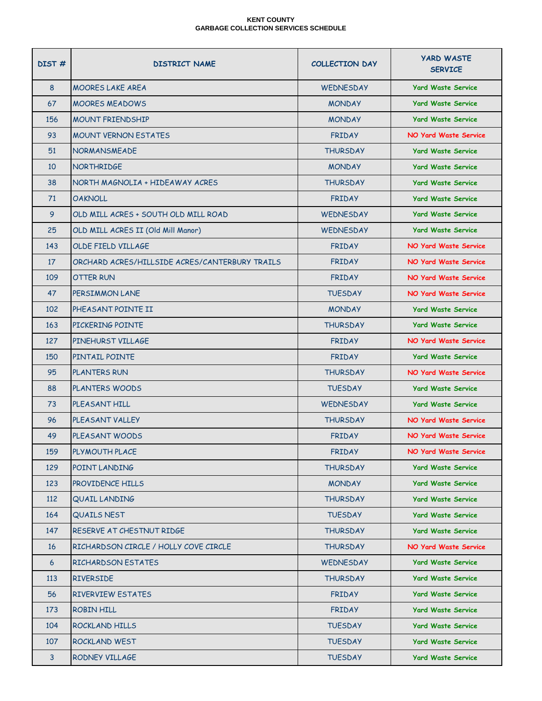| DIST# | <b>DISTRICT NAME</b>                           | <b>COLLECTION DAY</b> | <b>YARD WASTE</b><br><b>SERVICE</b> |
|-------|------------------------------------------------|-----------------------|-------------------------------------|
| 8     | <b>MOORES LAKE AREA</b>                        | <b>WEDNESDAY</b>      | <b>Yard Waste Service</b>           |
| 67    | <b>MOORES MEADOWS</b>                          | <b>MONDAY</b>         | <b>Yard Waste Service</b>           |
| 156   | <b>MOUNT FRIENDSHIP</b>                        | <b>MONDAY</b>         | <b>Yard Waste Service</b>           |
| 93    | <b>MOUNT VERNON ESTATES</b>                    | <b>FRIDAY</b>         | <b>NO Yard Waste Service</b>        |
| 51    | <b>NORMANSMEADE</b>                            | <b>THURSDAY</b>       | <b>Yard Waste Service</b>           |
| 10    | <b>NORTHRIDGE</b>                              | <b>MONDAY</b>         | <b>Yard Waste Service</b>           |
| 38    | NORTH MAGNOLIA + HIDEAWAY ACRES                | <b>THURSDAY</b>       | <b>Yard Waste Service</b>           |
| 71    | <b>OAKNOLL</b>                                 | <b>FRIDAY</b>         | <b>Yard Waste Service</b>           |
| 9     | OLD MILL ACRES + SOUTH OLD MILL ROAD           | <b>WEDNESDAY</b>      | <b>Yard Waste Service</b>           |
| 25    | OLD MILL ACRES II (Old Mill Manor)             | <b>WEDNESDAY</b>      | <b>Yard Waste Service</b>           |
| 143   | OLDE FIELD VILLAGE                             | <b>FRIDAY</b>         | <b>NO Yard Waste Service</b>        |
| 17    | ORCHARD ACRES/HILLSIDE ACRES/CANTERBURY TRAILS | <b>FRIDAY</b>         | NO Yard Waste Service               |
| 109   | OTTER RUN                                      | <b>FRIDAY</b>         | <b>NO Yard Waste Service</b>        |
| 47    | PERSIMMON LANE                                 | <b>TUESDAY</b>        | NO Yard Waste Service               |
| 102   | PHEASANT POINTE II                             | <b>MONDAY</b>         | <b>Yard Waste Service</b>           |
| 163   | PICKERING POINTE                               | <b>THURSDAY</b>       | <b>Yard Waste Service</b>           |
| 127   | PINEHURST VILLAGE                              | <b>FRIDAY</b>         | <b>NO Yard Waste Service</b>        |
| 150   | PINTAIL POINTE                                 | <b>FRIDAY</b>         | <b>Yard Waste Service</b>           |
| 95    | <b>PLANTERS RUN</b>                            | <b>THURSDAY</b>       | <b>NO Yard Waste Service</b>        |
| 88    | <b>PLANTERS WOODS</b>                          | <b>TUESDAY</b>        | <b>Yard Waste Service</b>           |
| 73    | PLEASANT HILL                                  | <b>WEDNESDAY</b>      | <b>Yard Waste Service</b>           |
| 96    | PLEASANT VALLEY                                | <b>THURSDAY</b>       | <b>NO Yard Waste Service</b>        |
| 49    | PLEASANT WOODS                                 | <b>FRIDAY</b>         | <b>NO Yard Waste Service</b>        |
| 159   | PLYMOUTH PLACE                                 | <b>FRIDAY</b>         | <b>NO Yard Waste Service</b>        |
| 129   | POINT LANDING                                  | <b>THURSDAY</b>       | <b>Yard Waste Service</b>           |
| 123   | PROVIDENCE HILLS                               | <b>MONDAY</b>         | <b>Yard Waste Service</b>           |
| 112   | <b>QUAIL LANDING</b>                           | <b>THURSDAY</b>       | <b>Yard Waste Service</b>           |
| 164   | <b>QUAILS NEST</b>                             | <b>TUESDAY</b>        | <b>Yard Waste Service</b>           |
| 147   | RESERVE AT CHESTNUT RIDGE                      | <b>THURSDAY</b>       | <b>Yard Waste Service</b>           |
| 16    | RICHARDSON CIRCLE / HOLLY COVE CIRCLE          | <b>THURSDAY</b>       | <b>NO Yard Waste Service</b>        |
| 6     | <b>RICHARDSON ESTATES</b>                      | <b>WEDNESDAY</b>      | <b>Yard Waste Service</b>           |
| 113   | <b>RIVERSIDE</b>                               | <b>THURSDAY</b>       | <b>Yard Waste Service</b>           |
| 56    | <b>RIVERVIEW ESTATES</b>                       | <b>FRIDAY</b>         | <b>Yard Waste Service</b>           |
| 173   | ROBIN HILL                                     | <b>FRIDAY</b>         | <b>Yard Waste Service</b>           |
| 104   | ROCKLAND HILLS                                 | <b>TUESDAY</b>        | <b>Yard Waste Service</b>           |
| 107   | ROCKLAND WEST                                  | <b>TUESDAY</b>        | <b>Yard Waste Service</b>           |
| 3     | RODNEY VILLAGE                                 | <b>TUESDAY</b>        | <b>Yard Waste Service</b>           |